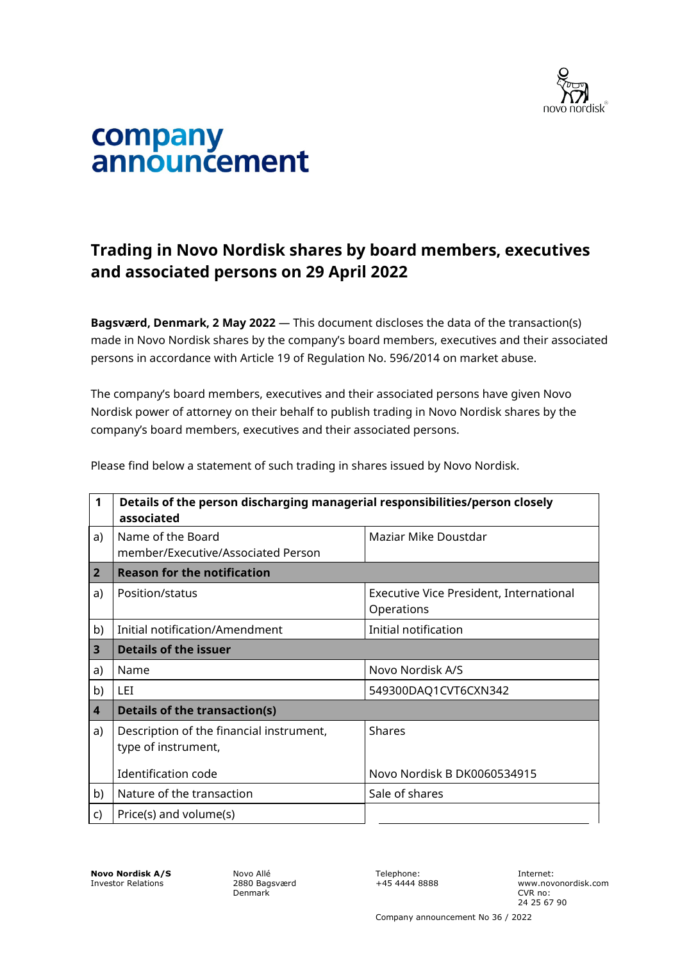

## company<br>announcement

## **Trading in Novo Nordisk shares by board members, executives and associated persons on 29 April 2022**

**Bagsværd, Denmark, 2 May 2022** — This document discloses the data of the transaction(s) made in Novo Nordisk shares by the company's board members, executives and their associated persons in accordance with Article 19 of Regulation No. 596/2014 on market abuse.

The company's board members, executives and their associated persons have given Novo Nordisk power of attorney on their behalf to publish trading in Novo Nordisk shares by the company's board members, executives and their associated persons.

| $\mathbf 1$    | Details of the person discharging managerial responsibilities/person closely<br>associated |                                                       |  |
|----------------|--------------------------------------------------------------------------------------------|-------------------------------------------------------|--|
| a)             | Name of the Board<br>member/Executive/Associated Person                                    | Maziar Mike Doustdar                                  |  |
| $\overline{2}$ | <b>Reason for the notification</b>                                                         |                                                       |  |
| a)             | Position/status                                                                            | Executive Vice President, International<br>Operations |  |
| b)             | Initial notification/Amendment                                                             | Initial notification                                  |  |
| 3              | <b>Details of the issuer</b>                                                               |                                                       |  |
| a)             | Name                                                                                       | Novo Nordisk A/S                                      |  |
| b)             | LET.                                                                                       | 549300DAQ1CVT6CXN342                                  |  |
| 4              | <b>Details of the transaction(s)</b>                                                       |                                                       |  |
| a)             | Description of the financial instrument,<br>type of instrument,                            | <b>Shares</b>                                         |  |
|                | Identification code                                                                        | Novo Nordisk B DK0060534915                           |  |
| b)             | Nature of the transaction                                                                  | Sale of shares                                        |  |
| c)             | Price(s) and volume(s)                                                                     |                                                       |  |

Please find below a statement of such trading in shares issued by Novo Nordisk.

**Novo Nordisk A/S** Investor Relations

Novo Allé 2880 Bagsværd Denmark

Telephone: +45 4444 8888 Internet: www.novonordisk.com CVR no: 24 25 67 90